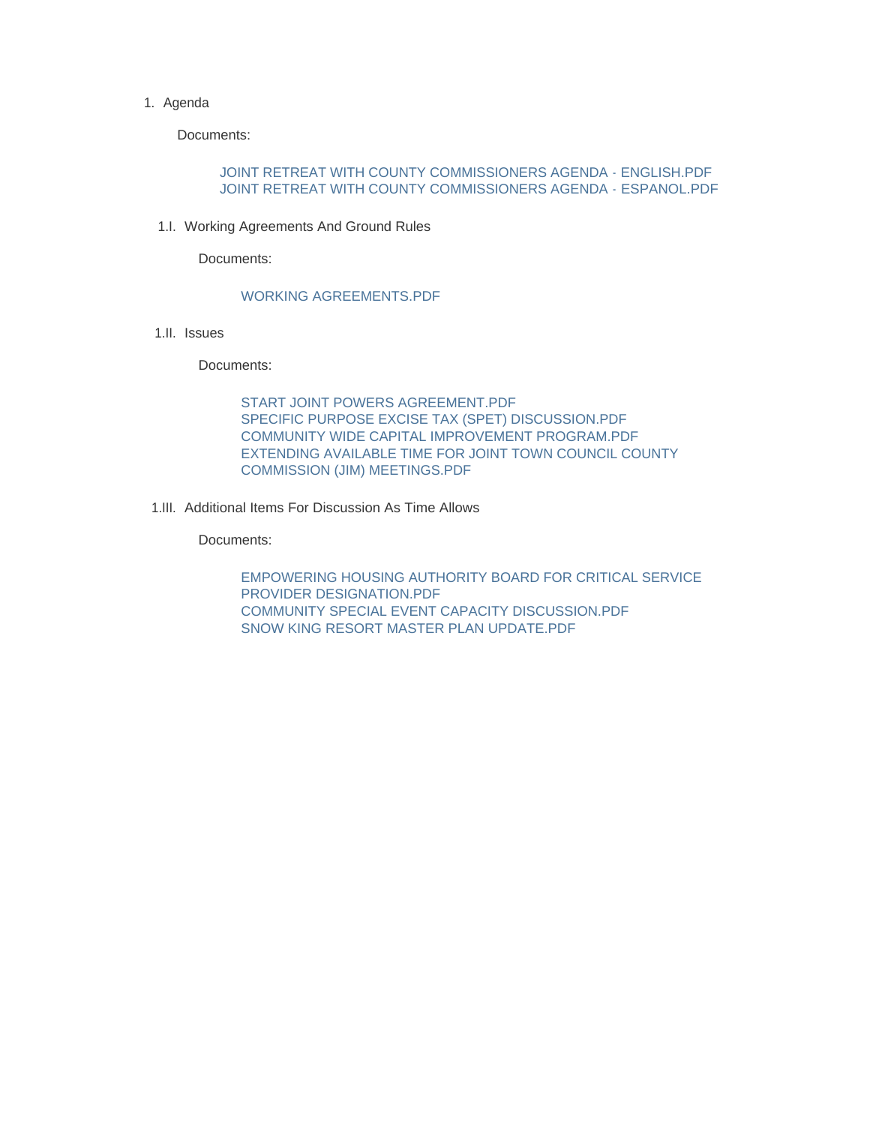#### 1. Agenda

Documents:

### JOINT RETREAT WITH COUNTY COMMISSIONERS AGENDA - ENGLISH.PDF JOINT RETREAT WITH COUNTY COMMISSIONERS AGENDA - ESPANOL.PDF

1.I. Working Agreements And Ground Rules

Documents:

### WORKING AGREEMENTS.PDF

1.II. Issues

Documents:

START JOINT POWERS AGREEMENT PDF SPECIFIC PURPOSE EXCISE TAX (SPET) DISCUSSION.PDF COMMUNITY WIDE CAPITAL IMPROVEMENT PROGRAM.PDF EXTENDING AVAILABLE TIME FOR JOINT TOWN COUNCIL COUNTY COMMISSION (JIM) MEETINGS.PDF

1.III. Additional Items For Discussion As Time Allows

Documents:

EMPOWERING HOUSING AUTHORITY BOARD FOR CRITICAL SERVICE PROVIDER DESIGNATION.PDF COMMUNITY SPECIAL EVENT CAPACITY DISCUSSION.PDF SNOW KING RESORT MASTER PLAN UPDATE.PDF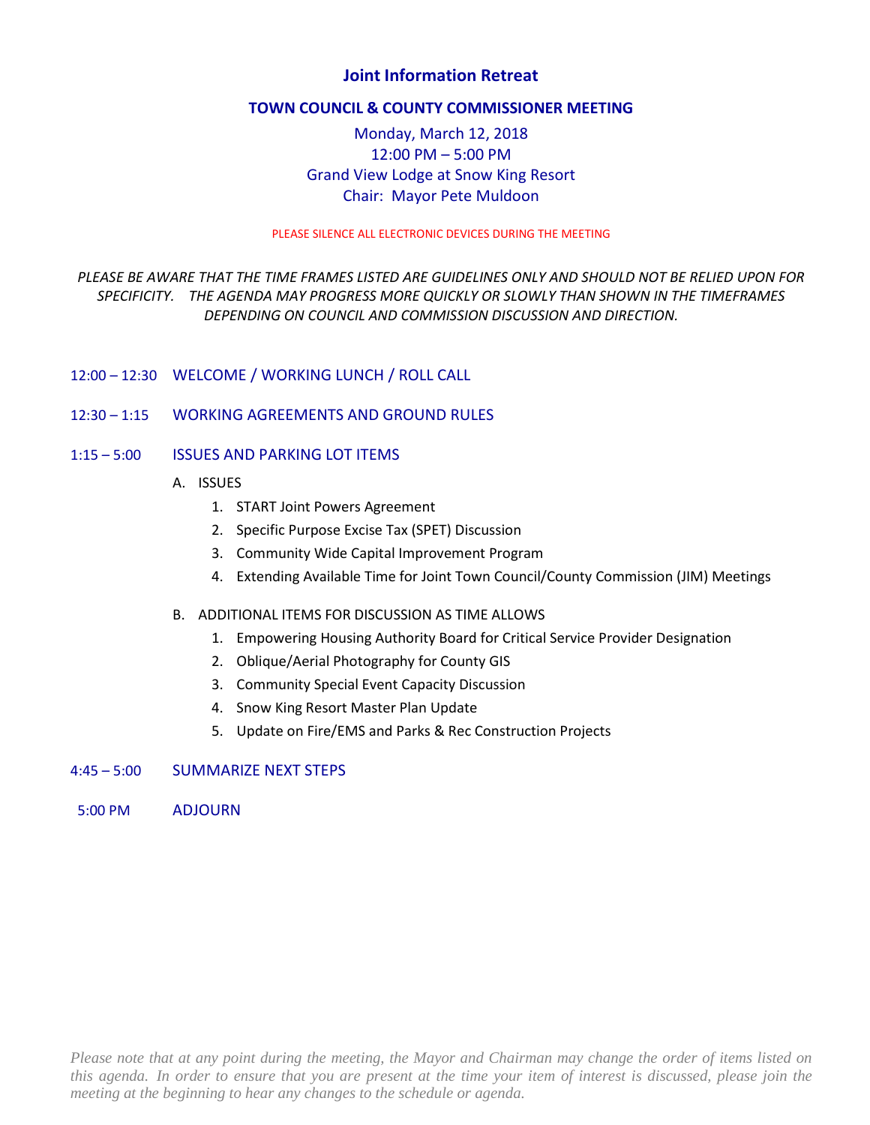# **Joint Information Retreat**

### **TOWN COUNCIL & COUNTY COMMISSIONER MEETING**

# Monday, March 12, 2018 12:00 PM – 5:00 PM Grand View Lodge at Snow King Resort Chair: Mayor Pete Muldoon

### PLEASE SILENCE ALL ELECTRONIC DEVICES DURING THE MEETING

# *PLEASE BE AWARE THAT THE TIME FRAMES LISTED ARE GUIDELINES ONLY AND SHOULD NOT BE RELIED UPON FOR SPECIFICITY. THE AGENDA MAY PROGRESS MORE QUICKLY OR SLOWLY THAN SHOWN IN THE TIMEFRAMES DEPENDING ON COUNCIL AND COMMISSION DISCUSSION AND DIRECTION.*

- 12:00 12:30 WELCOME / WORKING LUNCH / ROLL CALL
- 12:30 1:15 WORKING AGREEMENTS AND GROUND RULES
- 1:15 5:00 ISSUES AND PARKING LOT ITEMS
	- A. ISSUES
		- 1. START Joint Powers Agreement
		- 2. Specific Purpose Excise Tax (SPET) Discussion
		- 3. Community Wide Capital Improvement Program
		- 4. Extending Available Time for Joint Town Council/County Commission (JIM) Meetings

### B. ADDITIONAL ITEMS FOR DISCUSSION AS TIME ALLOWS

- 1. Empowering Housing Authority Board for Critical Service Provider Designation
- 2. Oblique/Aerial Photography for County GIS
- 3. Community Special Event Capacity Discussion
- 4. Snow King Resort Master Plan Update
- 5. Update on Fire/EMS and Parks & Rec Construction Projects

# 4:45 – 5:00 SUMMARIZE NEXT STEPS

5:00 PM ADJOURN

*Please note that at any point during the meeting, the Mayor and Chairman may change the order of items listed on this agenda. In order to ensure that you are present at the time your item of interest is discussed, please join the meeting at the beginning to hear any changes to the schedule or agenda.*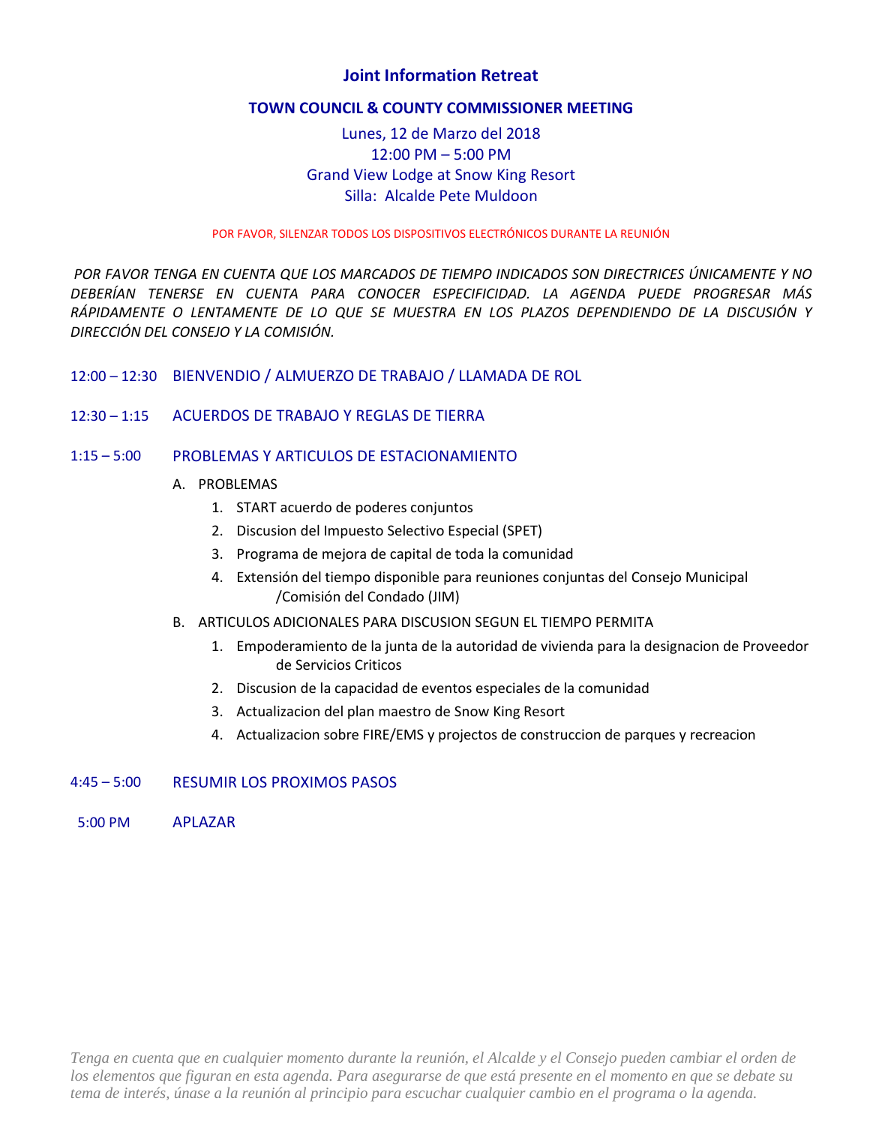# **Joint Information Retreat**

### **TOWN COUNCIL & COUNTY COMMISSIONER MEETING**

# Lunes, 12 de Marzo del 2018 12:00 PM – 5:00 PM Grand View Lodge at Snow King Resort Silla: Alcalde Pete Muldoon

### POR FAVOR, SILENZAR TODOS LOS DISPOSITIVOS ELECTRÓNICOS DURANTE LA REUNIÓN

*POR FAVOR TENGA EN CUENTA QUE LOS MARCADOS DE TIEMPO INDICADOS SON DIRECTRICES ÚNICAMENTE Y NO DEBERÍAN TENERSE EN CUENTA PARA CONOCER ESPECIFICIDAD. LA AGENDA PUEDE PROGRESAR MÁS RÁPIDAMENTE O LENTAMENTE DE LO QUE SE MUESTRA EN LOS PLAZOS DEPENDIENDO DE LA DISCUSIÓN Y DIRECCIÓN DEL CONSEJO Y LA COMISIÓN.*

- 12:00 12:30 BIENVENDIO / ALMUERZO DE TRABAJO / LLAMADA DE ROL
- 12:30 1:15 ACUERDOS DE TRABAJO Y REGLAS DE TIERRA

### 1:15 – 5:00 PROBLEMAS Y ARTICULOS DE ESTACIONAMIENTO

### A. PROBLEMAS

- 1. START acuerdo de poderes conjuntos
- 2. Discusion del Impuesto Selectivo Especial (SPET)
- 3. Programa de mejora de capital de toda la comunidad
- 4. Extensión del tiempo disponible para reuniones conjuntas del Consejo Municipal /Comisión del Condado (JIM)
- B. ARTICULOS ADICIONALES PARA DISCUSION SEGUN EL TIEMPO PERMITA
	- 1. Empoderamiento de la junta de la autoridad de vivienda para la designacion de Proveedor de Servicios Criticos
	- 2. Discusion de la capacidad de eventos especiales de la comunidad
	- 3. Actualizacion del plan maestro de Snow King Resort
	- 4. Actualizacion sobre FIRE/EMS y projectos de construccion de parques y recreacion

### 4:45 – 5:00 RESUMIR LOS PROXIMOS PASOS

5:00 PM APLAZAR

*Tenga en cuenta que en cualquier momento durante la reunión, el Alcalde y el Consejo pueden cambiar el orden de los elementos que figuran en esta agenda. Para asegurarse de que está presente en el momento en que se debate su tema de interés, únase a la reunión al principio para escuchar cualquier cambio en el programa o la agenda.*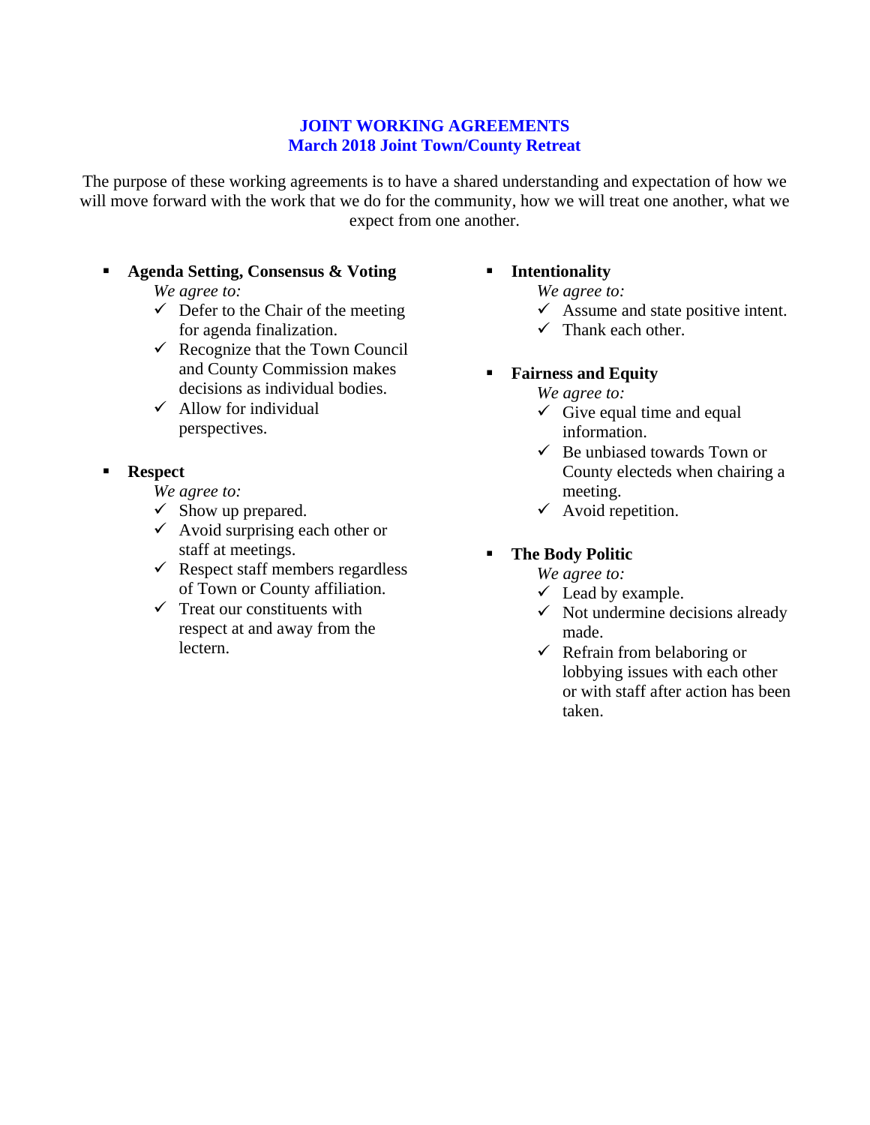# **JOINT WORKING AGREEMENTS March 2018 Joint Town/County Retreat**

The purpose of these working agreements is to have a shared understanding and expectation of how we will move forward with the work that we do for the community, how we will treat one another, what we expect from one another.

# **Agenda Setting, Consensus & Voting**

*We agree to:* 

- $\checkmark$  Defer to the Chair of the meeting for agenda finalization.
- $\checkmark$  Recognize that the Town Council and County Commission makes decisions as individual bodies.
- $\checkmark$  Allow for individual perspectives.

# **Respect**

*We agree to:* 

- $\checkmark$  Show up prepared.
- $\checkmark$  Avoid surprising each other or staff at meetings.
- $\checkmark$  Respect staff members regardless of Town or County affiliation.
- $\checkmark$  Treat our constituents with respect at and away from the lectern.

# **Intentionality**

*We agree to:* 

- $\checkmark$  Assume and state positive intent.
- $\checkmark$  Thank each other.
- **Fairness and Equity**
	- *We agree to:*
	- $\checkmark$  Give equal time and equal information.
	- $\checkmark$  Be unbiased towards Town or County electeds when chairing a meeting.
	- $\checkmark$  Avoid repetition.

# **The Body Politic**

- *We agree to:*
- $\checkmark$  Lead by example.
- $\checkmark$  Not undermine decisions already made.
- $\checkmark$  Refrain from belaboring or lobbying issues with each other or with staff after action has been taken.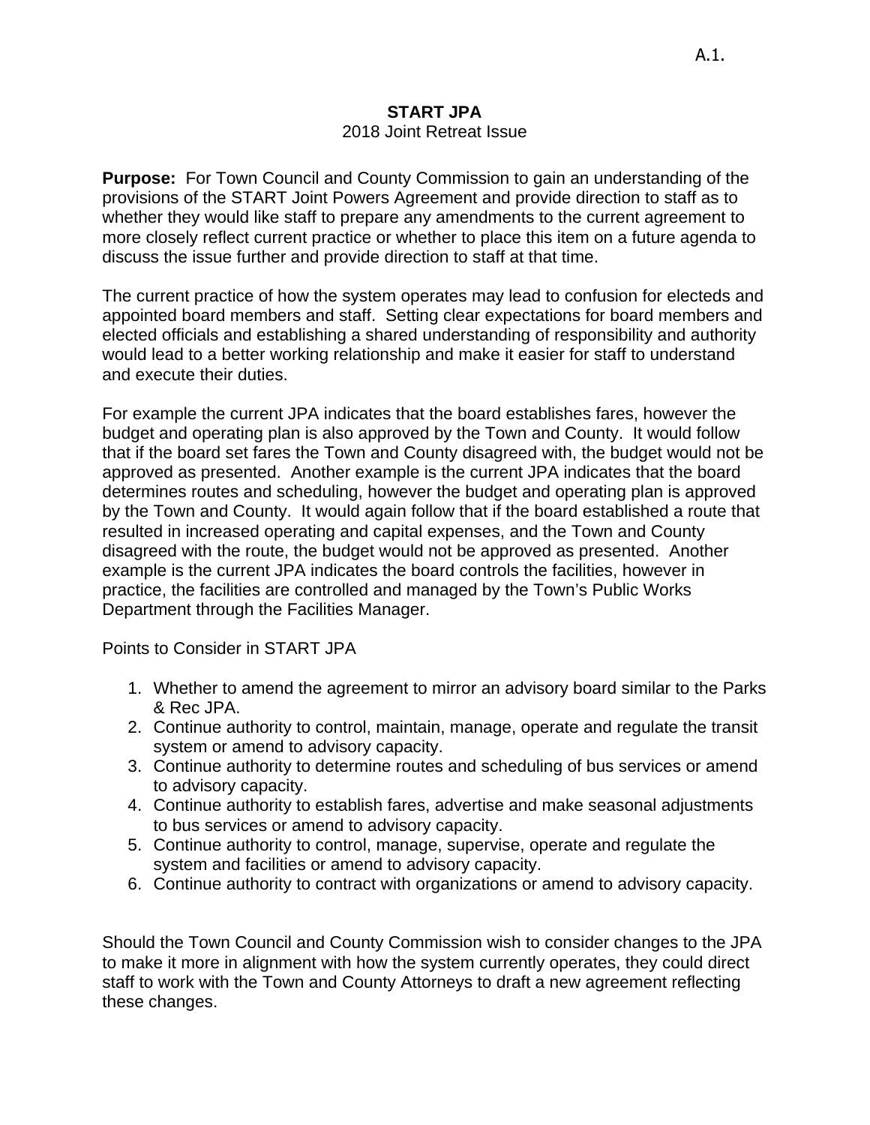# **START JPA**

# 2018 Joint Retreat Issue

**Purpose:** For Town Council and County Commission to gain an understanding of the provisions of the START Joint Powers Agreement and provide direction to staff as to whether they would like staff to prepare any amendments to the current agreement to more closely reflect current practice or whether to place this item on a future agenda to discuss the issue further and provide direction to staff at that time.

The current practice of how the system operates may lead to confusion for electeds and appointed board members and staff. Setting clear expectations for board members and elected officials and establishing a shared understanding of responsibility and authority would lead to a better working relationship and make it easier for staff to understand and execute their duties.

For example the current JPA indicates that the board establishes fares, however the budget and operating plan is also approved by the Town and County. It would follow that if the board set fares the Town and County disagreed with, the budget would not be approved as presented. Another example is the current JPA indicates that the board determines routes and scheduling, however the budget and operating plan is approved by the Town and County. It would again follow that if the board established a route that resulted in increased operating and capital expenses, and the Town and County disagreed with the route, the budget would not be approved as presented. Another example is the current JPA indicates the board controls the facilities, however in practice, the facilities are controlled and managed by the Town's Public Works Department through the Facilities Manager.

Points to Consider in START JPA

- 1. Whether to amend the agreement to mirror an advisory board similar to the Parks & Rec JPA.
- 2. Continue authority to control, maintain, manage, operate and regulate the transit system or amend to advisory capacity.
- 3. Continue authority to determine routes and scheduling of bus services or amend to advisory capacity.
- 4. Continue authority to establish fares, advertise and make seasonal adjustments to bus services or amend to advisory capacity.
- 5. Continue authority to control, manage, supervise, operate and regulate the system and facilities or amend to advisory capacity.
- 6. Continue authority to contract with organizations or amend to advisory capacity.

Should the Town Council and County Commission wish to consider changes to the JPA to make it more in alignment with how the system currently operates, they could direct staff to work with the Town and County Attorneys to draft a new agreement reflecting these changes.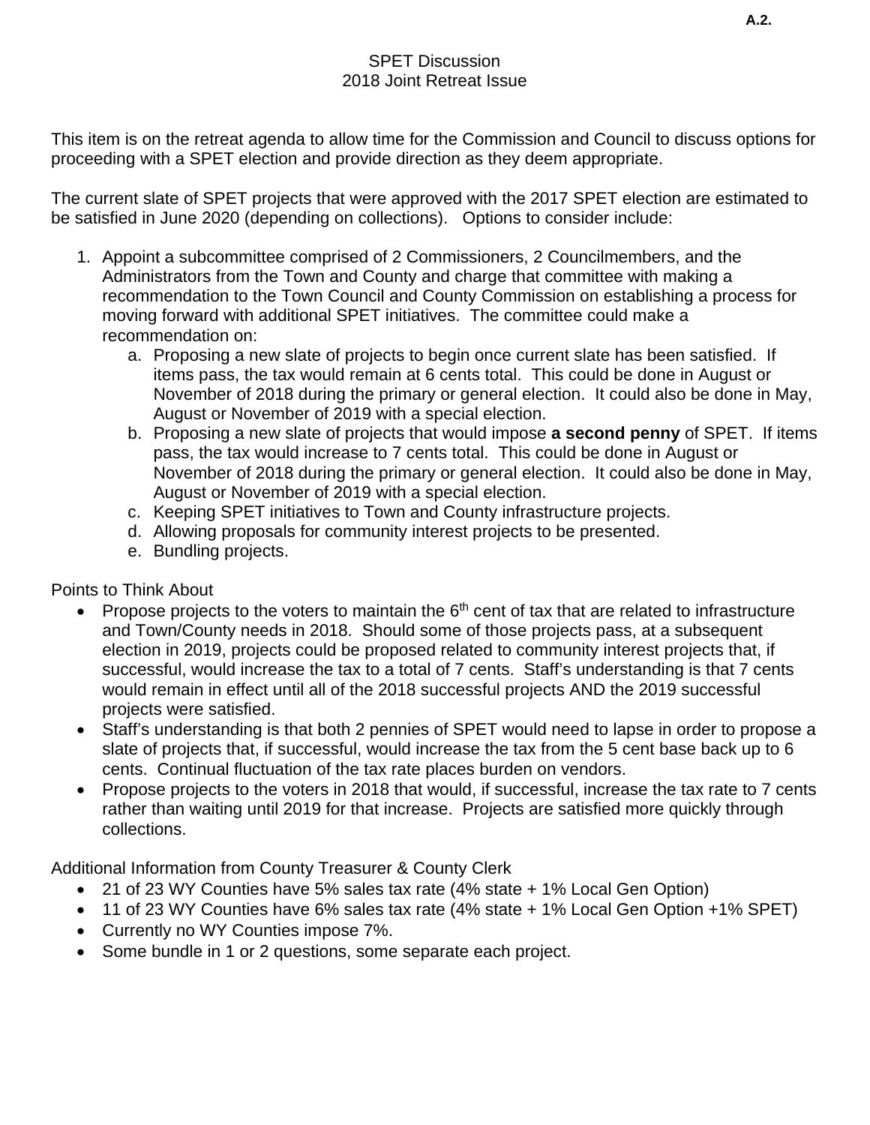# SPET Discussion 2018 Joint Retreat Issue

This item is on the retreat agenda to allow time for the Commission and Council to discuss options for proceeding with a SPET election and provide direction as they deem appropriate.

The current slate of SPET projects that were approved with the 2017 SPET election are estimated to be satisfied in June 2020 (depending on collections). Options to consider include:

- 1. Appoint a subcommittee comprised of 2 Commissioners, 2 Councilmembers, and the Administrators from the Town and County and charge that committee with making a recommendation to the Town Council and County Commission on establishing a process for moving forward with additional SPET initiatives. The committee could make a recommendation on:
	- a. Proposing a new slate of projects to begin once current slate has been satisfied. If items pass, the tax would remain at 6 cents total. This could be done in August or November of 2018 during the primary or general election. It could also be done in May, August or November of 2019 with a special election.
	- b. Proposing a new slate of projects that would impose **a second penny** of SPET. If items pass, the tax would increase to 7 cents total. This could be done in August or November of 2018 during the primary or general election. It could also be done in May, August or November of 2019 with a special election.
	- c. Keeping SPET initiatives to Town and County infrastructure projects.
	- d. Allowing proposals for community interest projects to be presented.
	- e. Bundling projects.

Points to Think About

- Propose projects to the voters to maintain the  $6<sup>th</sup>$  cent of tax that are related to infrastructure and Town/County needs in 2018. Should some of those projects pass, at a subsequent election in 2019, projects could be proposed related to community interest projects that, if successful, would increase the tax to a total of 7 cents. Staff's understanding is that 7 cents would remain in effect until all of the 2018 successful projects AND the 2019 successful projects were satisfied.
- Staff's understanding is that both 2 pennies of SPET would need to lapse in order to propose a slate of projects that, if successful, would increase the tax from the 5 cent base back up to 6 cents. Continual fluctuation of the tax rate places burden on vendors.
- Propose projects to the voters in 2018 that would, if successful, increase the tax rate to 7 cents rather than waiting until 2019 for that increase. Projects are satisfied more quickly through collections.

Additional Information from County Treasurer & County Clerk

- 21 of 23 WY Counties have 5% sales tax rate (4% state + 1% Local Gen Option)
- 11 of 23 WY Counties have 6% sales tax rate (4% state + 1% Local Gen Option +1% SPET)
- Currently no WY Counties impose 7%.
- Some bundle in 1 or 2 questions, some separate each project.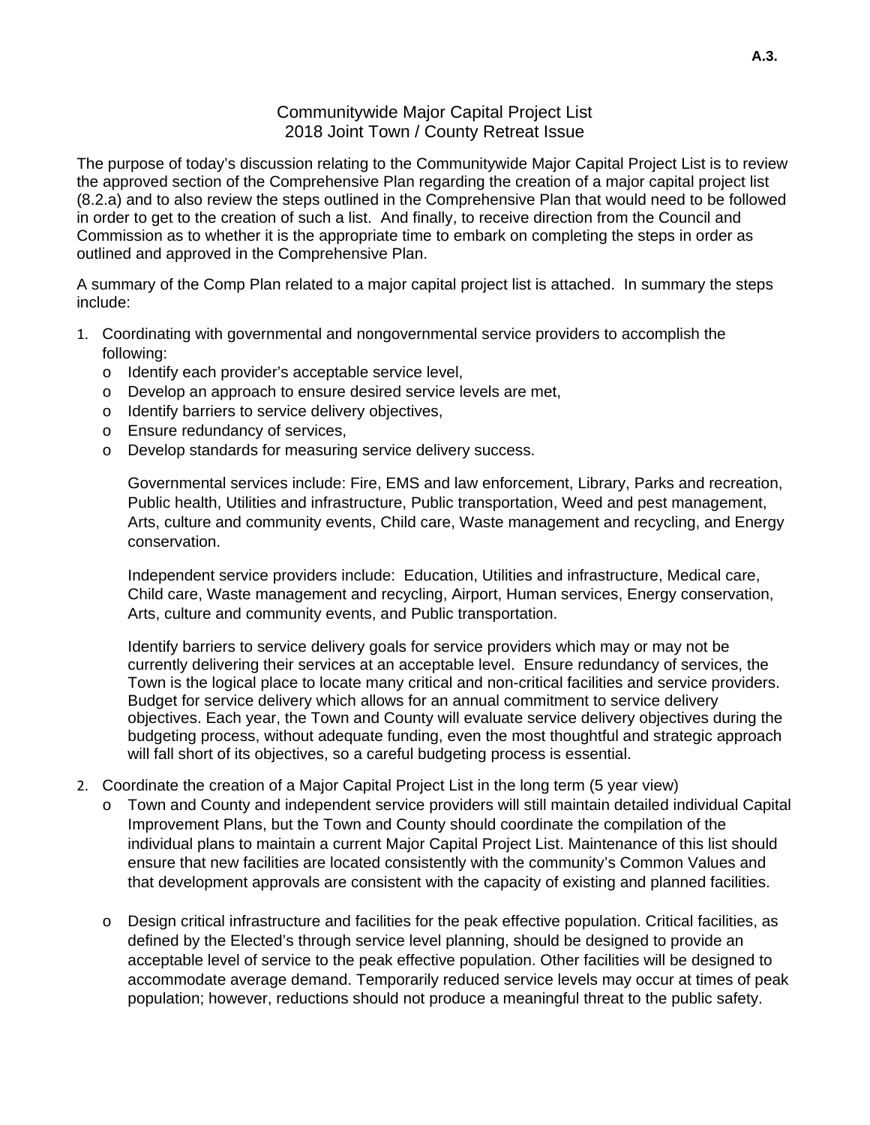# Communitywide Major Capital Project List 2018 Joint Town / County Retreat Issue

The purpose of today's discussion relating to the Communitywide Major Capital Project List is to review the approved section of the Comprehensive Plan regarding the creation of a major capital project list (8.2.a) and to also review the steps outlined in the Comprehensive Plan that would need to be followed in order to get to the creation of such a list. And finally, to receive direction from the Council and Commission as to whether it is the appropriate time to embark on completing the steps in order as outlined and approved in the Comprehensive Plan.

A summary of the Comp Plan related to a major capital project list is attached. In summary the steps include:

- 1. Coordinating with governmental and nongovernmental service providers to accomplish the following:
	- o Identify each provider's acceptable service level,
	- o Develop an approach to ensure desired service levels are met,
	- o Identify barriers to service delivery objectives,
	- o Ensure redundancy of services,
	- o Develop standards for measuring service delivery success.

Governmental services include: Fire, EMS and law enforcement, Library, Parks and recreation, Public health, Utilities and infrastructure, Public transportation, Weed and pest management, Arts, culture and community events, Child care, Waste management and recycling, and Energy conservation.

Independent service providers include: Education, Utilities and infrastructure, Medical care, Child care, Waste management and recycling, Airport, Human services, Energy conservation, Arts, culture and community events, and Public transportation.

Identify barriers to service delivery goals for service providers which may or may not be currently delivering their services at an acceptable level. Ensure redundancy of services, the Town is the logical place to locate many critical and non-critical facilities and service providers. Budget for service delivery which allows for an annual commitment to service delivery objectives. Each year, the Town and County will evaluate service delivery objectives during the budgeting process, without adequate funding, even the most thoughtful and strategic approach will fall short of its objectives, so a careful budgeting process is essential.

- 2. Coordinate the creation of a Major Capital Project List in the long term (5 year view)
	- o Town and County and independent service providers will still maintain detailed individual Capital Improvement Plans, but the Town and County should coordinate the compilation of the individual plans to maintain a current Major Capital Project List. Maintenance of this list should ensure that new facilities are located consistently with the community's Common Values and that development approvals are consistent with the capacity of existing and planned facilities.
	- o Design critical infrastructure and facilities for the peak effective population. Critical facilities, as defined by the Elected's through service level planning, should be designed to provide an acceptable level of service to the peak effective population. Other facilities will be designed to accommodate average demand. Temporarily reduced service levels may occur at times of peak population; however, reductions should not produce a meaningful threat to the public safety.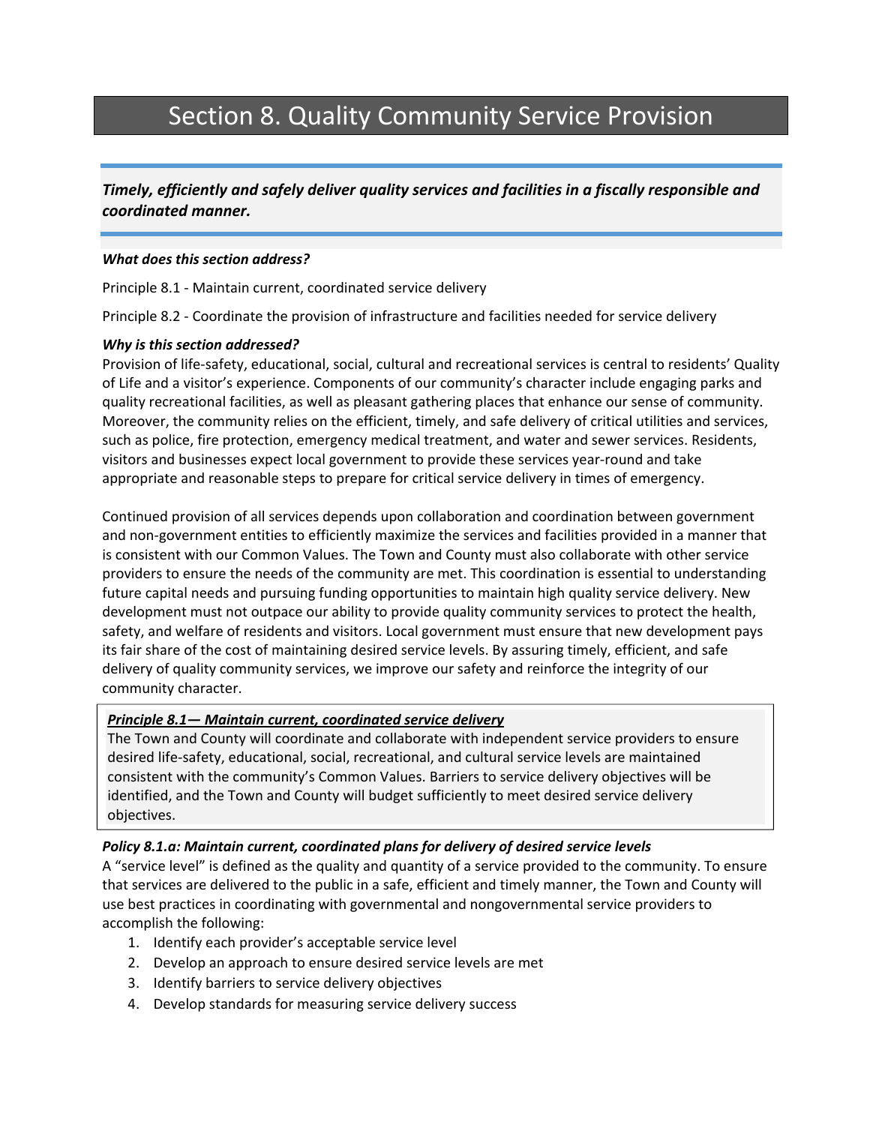# Section 8. Quality Community Service Provision

*Timely, efficiently and safely deliver quality services and facilities in a fiscally responsible and coordinated manner.*

### *What does this section address?*

Principle 8.1 ‐ Maintain current, coordinated service delivery

Principle 8.2 ‐ Coordinate the provision of infrastructure and facilities needed for service delivery

### *Why is this section addressed?*

Provision of life‐safety, educational, social, cultural and recreational services is central to residents' Quality of Life and a visitor's experience. Components of our community's character include engaging parks and quality recreational facilities, as well as pleasant gathering places that enhance our sense of community. Moreover, the community relies on the efficient, timely, and safe delivery of critical utilities and services, such as police, fire protection, emergency medical treatment, and water and sewer services. Residents, visitors and businesses expect local government to provide these services year‐round and take appropriate and reasonable steps to prepare for critical service delivery in times of emergency.

Continued provision of all services depends upon collaboration and coordination between government and non‐government entities to efficiently maximize the services and facilities provided in a manner that is consistent with our Common Values. The Town and County must also collaborate with other service providers to ensure the needs of the community are met. This coordination is essential to understanding future capital needs and pursuing funding opportunities to maintain high quality service delivery. New development must not outpace our ability to provide quality community services to protect the health, safety, and welfare of residents and visitors. Local government must ensure that new development pays its fair share of the cost of maintaining desired service levels. By assuring timely, efficient, and safe delivery of quality community services, we improve our safety and reinforce the integrity of our community character.

### *Principle 8.1— Maintain current, coordinated service delivery*

The Town and County will coordinate and collaborate with independent service providers to ensure desired life‐safety, educational, social, recreational, and cultural service levels are maintained consistent with the community's Common Values. Barriers to service delivery objectives will be identified, and the Town and County will budget sufficiently to meet desired service delivery objectives.

### *Policy 8.1.a: Maintain current, coordinated plans for delivery of desired service levels*

A "service level" is defined as the quality and quantity of a service provided to the community. To ensure that services are delivered to the public in a safe, efficient and timely manner, the Town and County will use best practices in coordinating with governmental and nongovernmental service providers to accomplish the following:

- 1. Identify each provider's acceptable service level
- 2. Develop an approach to ensure desired service levels are met
- 3. Identify barriers to service delivery objectives
- 4. Develop standards for measuring service delivery success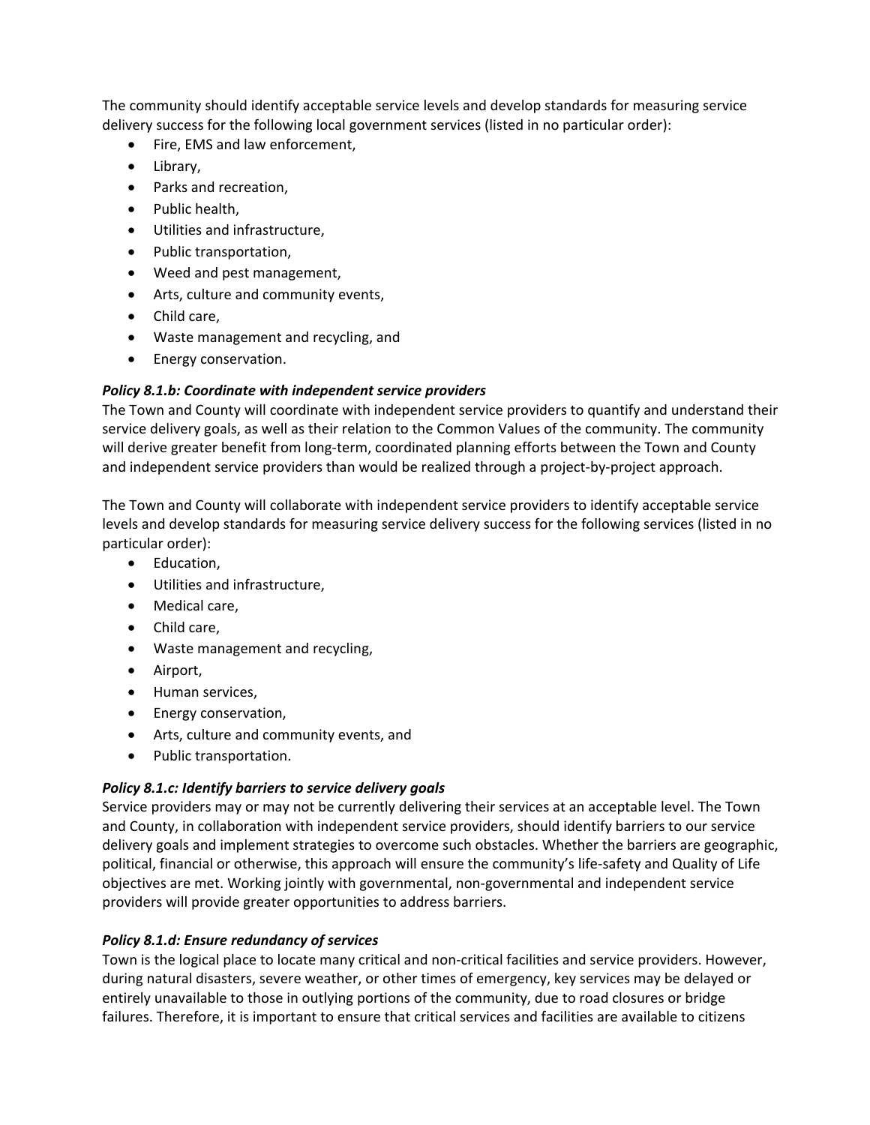The community should identify acceptable service levels and develop standards for measuring service delivery success for the following local government services (listed in no particular order):

- Fire, EMS and law enforcement,
- Library,
- Parks and recreation,
- Public health,
- Utilities and infrastructure,
- Public transportation,
- Weed and pest management,
- Arts, culture and community events,
- Child care,
- Waste management and recycling, and
- Energy conservation.

# *Policy 8.1.b: Coordinate with independent service providers*

The Town and County will coordinate with independent service providers to quantify and understand their service delivery goals, as well as their relation to the Common Values of the community. The community will derive greater benefit from long-term, coordinated planning efforts between the Town and County and independent service providers than would be realized through a project‐by‐project approach.

The Town and County will collaborate with independent service providers to identify acceptable service levels and develop standards for measuring service delivery success for the following services (listed in no particular order):

- Education,
- Utilities and infrastructure,
- Medical care,
- Child care,
- Waste management and recycling,
- Airport,
- Human services,
- Energy conservation,
- Arts, culture and community events, and
- Public transportation.

# *Policy 8.1.c: Identify barriers to service delivery goals*

Service providers may or may not be currently delivering their services at an acceptable level. The Town and County, in collaboration with independent service providers, should identify barriers to our service delivery goals and implement strategies to overcome such obstacles. Whether the barriers are geographic, political, financial or otherwise, this approach will ensure the community's life‐safety and Quality of Life objectives are met. Working jointly with governmental, non‐governmental and independent service providers will provide greater opportunities to address barriers.

# *Policy 8.1.d: Ensure redundancy of services*

Town is the logical place to locate many critical and non-critical facilities and service providers. However, during natural disasters, severe weather, or other times of emergency, key services may be delayed or entirely unavailable to those in outlying portions of the community, due to road closures or bridge failures. Therefore, it is important to ensure that critical services and facilities are available to citizens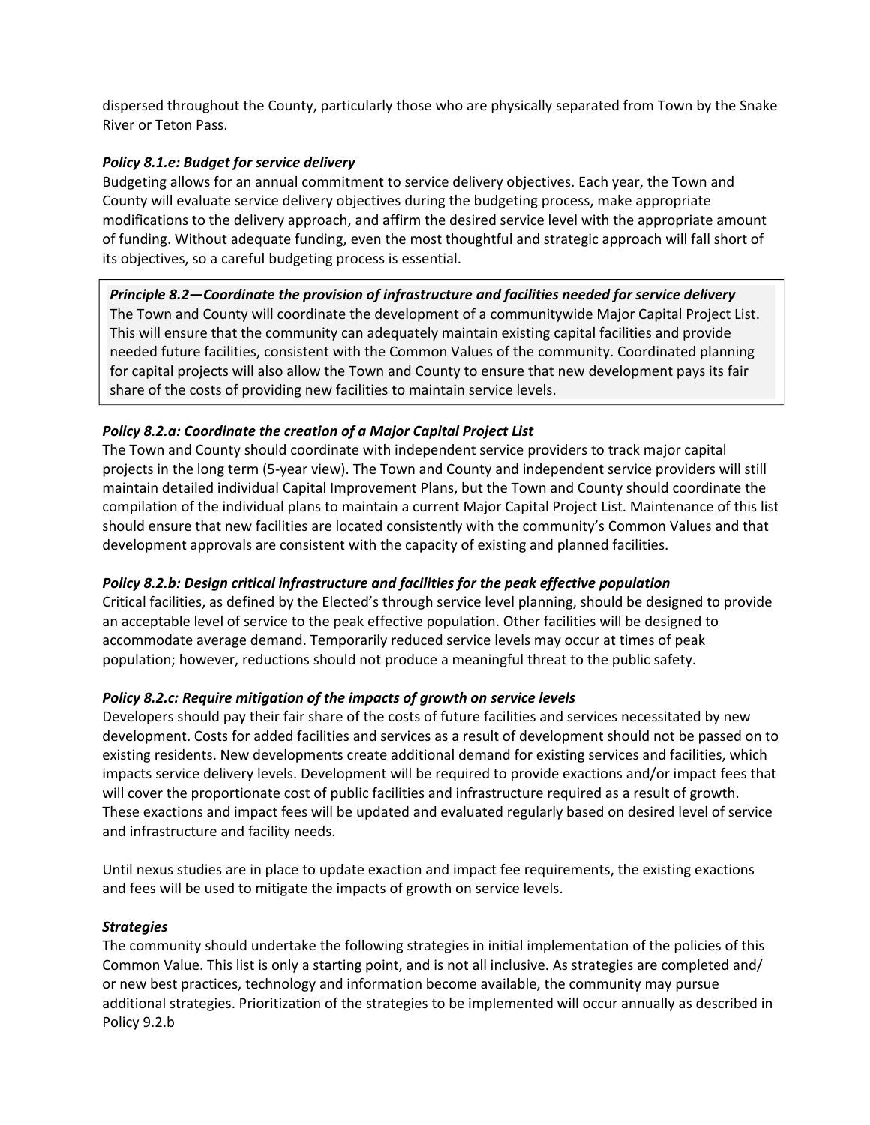dispersed throughout the County, particularly those who are physically separated from Town by the Snake River or Teton Pass.

# *Policy 8.1.e: Budget for service delivery*

Budgeting allows for an annual commitment to service delivery objectives. Each year, the Town and County will evaluate service delivery objectives during the budgeting process, make appropriate modifications to the delivery approach, and affirm the desired service level with the appropriate amount of funding. Without adequate funding, even the most thoughtful and strategic approach will fall short of its objectives, so a careful budgeting process is essential.

## *Principle 8.2—Coordinate the provision of infrastructure and facilities needed for service delivery*

The Town and County will coordinate the development of a communitywide Major Capital Project List. This will ensure that the community can adequately maintain existing capital facilities and provide needed future facilities, consistent with the Common Values of the community. Coordinated planning for capital projects will also allow the Town and County to ensure that new development pays its fair share of the costs of providing new facilities to maintain service levels.

# *Policy 8.2.a: Coordinate the creation of a Major Capital Project List*

The Town and County should coordinate with independent service providers to track major capital projects in the long term (5‐year view). The Town and County and independent service providers will still maintain detailed individual Capital Improvement Plans, but the Town and County should coordinate the compilation of the individual plans to maintain a current Major Capital Project List. Maintenance of this list should ensure that new facilities are located consistently with the community's Common Values and that development approvals are consistent with the capacity of existing and planned facilities.

# *Policy 8.2.b: Design critical infrastructure and facilities for the peak effective population*

Critical facilities, as defined by the Elected's through service level planning, should be designed to provide an acceptable level of service to the peak effective population. Other facilities will be designed to accommodate average demand. Temporarily reduced service levels may occur at times of peak population; however, reductions should not produce a meaningful threat to the public safety.

### *Policy 8.2.c: Require mitigation of the impacts of growth on service levels*

Developers should pay their fair share of the costs of future facilities and services necessitated by new development. Costs for added facilities and services as a result of development should not be passed on to existing residents. New developments create additional demand for existing services and facilities, which impacts service delivery levels. Development will be required to provide exactions and/or impact fees that will cover the proportionate cost of public facilities and infrastructure required as a result of growth. These exactions and impact fees will be updated and evaluated regularly based on desired level of service and infrastructure and facility needs.

Until nexus studies are in place to update exaction and impact fee requirements, the existing exactions and fees will be used to mitigate the impacts of growth on service levels.

### *Strategies*

The community should undertake the following strategies in initial implementation of the policies of this Common Value. This list is only a starting point, and is not all inclusive. As strategies are completed and/ or new best practices, technology and information become available, the community may pursue additional strategies. Prioritization of the strategies to be implemented will occur annually as described in Policy 9.2.b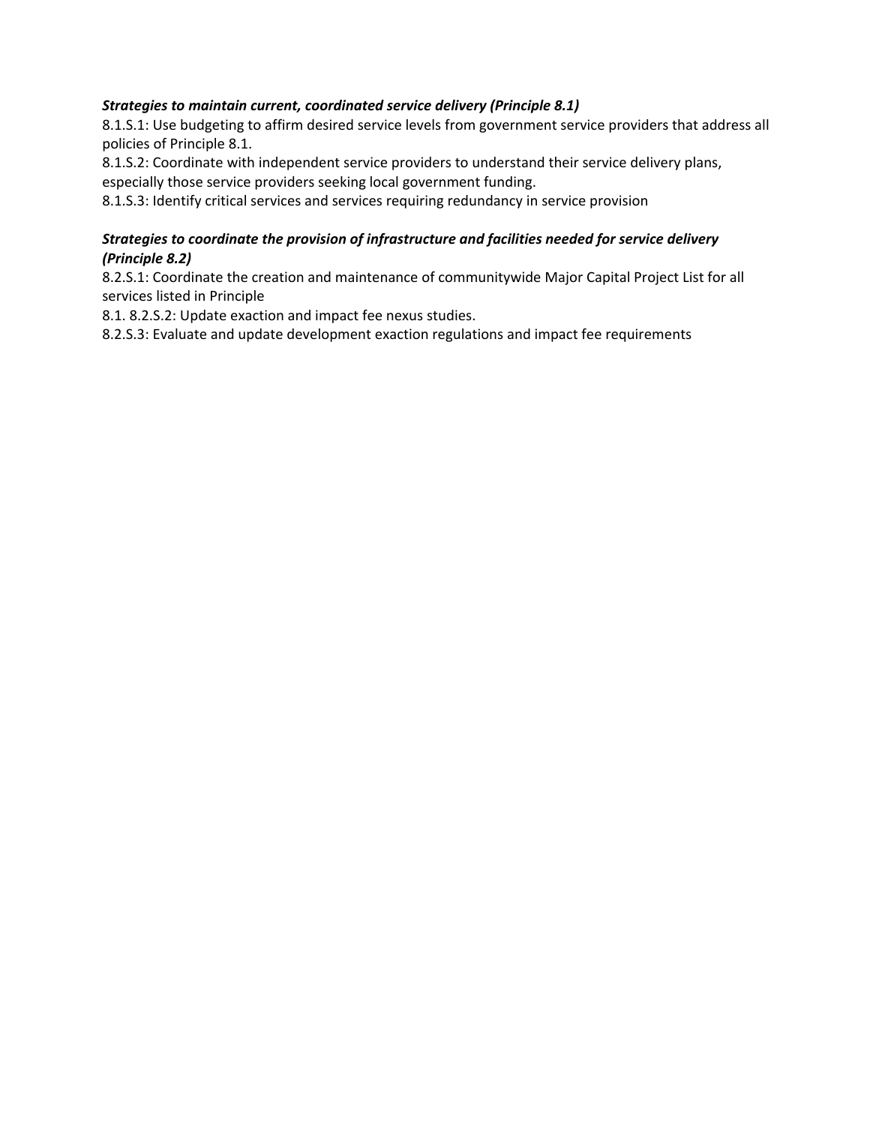# *Strategies to maintain current, coordinated service delivery (Principle 8.1)*

8.1.S.1: Use budgeting to affirm desired service levels from government service providers that address all policies of Principle 8.1.

8.1.S.2: Coordinate with independent service providers to understand their service delivery plans,

especially those service providers seeking local government funding.

8.1.S.3: Identify critical services and services requiring redundancy in service provision

# *Strategies to coordinate the provision of infrastructure and facilities needed for service delivery (Principle 8.2)*

8.2.S.1: Coordinate the creation and maintenance of communitywide Major Capital Project List for all services listed in Principle

8.1. 8.2.S.2: Update exaction and impact fee nexus studies.

8.2.S.3: Evaluate and update development exaction regulations and impact fee requirements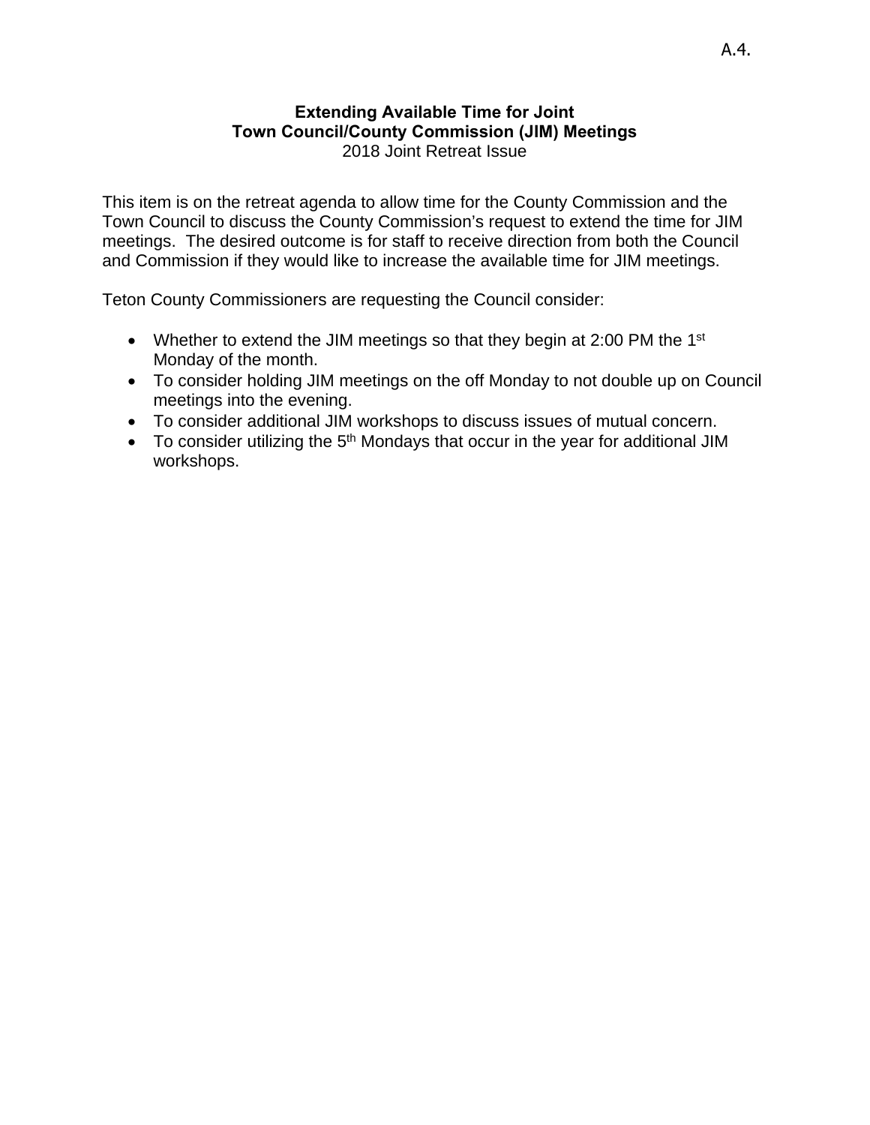# **Extending Available Time for Joint Town Council/County Commission (JIM) Meetings** 2018 Joint Retreat Issue

This item is on the retreat agenda to allow time for the County Commission and the Town Council to discuss the County Commission's request to extend the time for JIM meetings. The desired outcome is for staff to receive direction from both the Council and Commission if they would like to increase the available time for JIM meetings.

Teton County Commissioners are requesting the Council consider:

- Whether to extend the JIM meetings so that they begin at 2:00 PM the 1<sup>st</sup> Monday of the month.
- To consider holding JIM meetings on the off Monday to not double up on Council meetings into the evening.
- To consider additional JIM workshops to discuss issues of mutual concern.
- To consider utilizing the 5<sup>th</sup> Mondays that occur in the year for additional JIM workshops.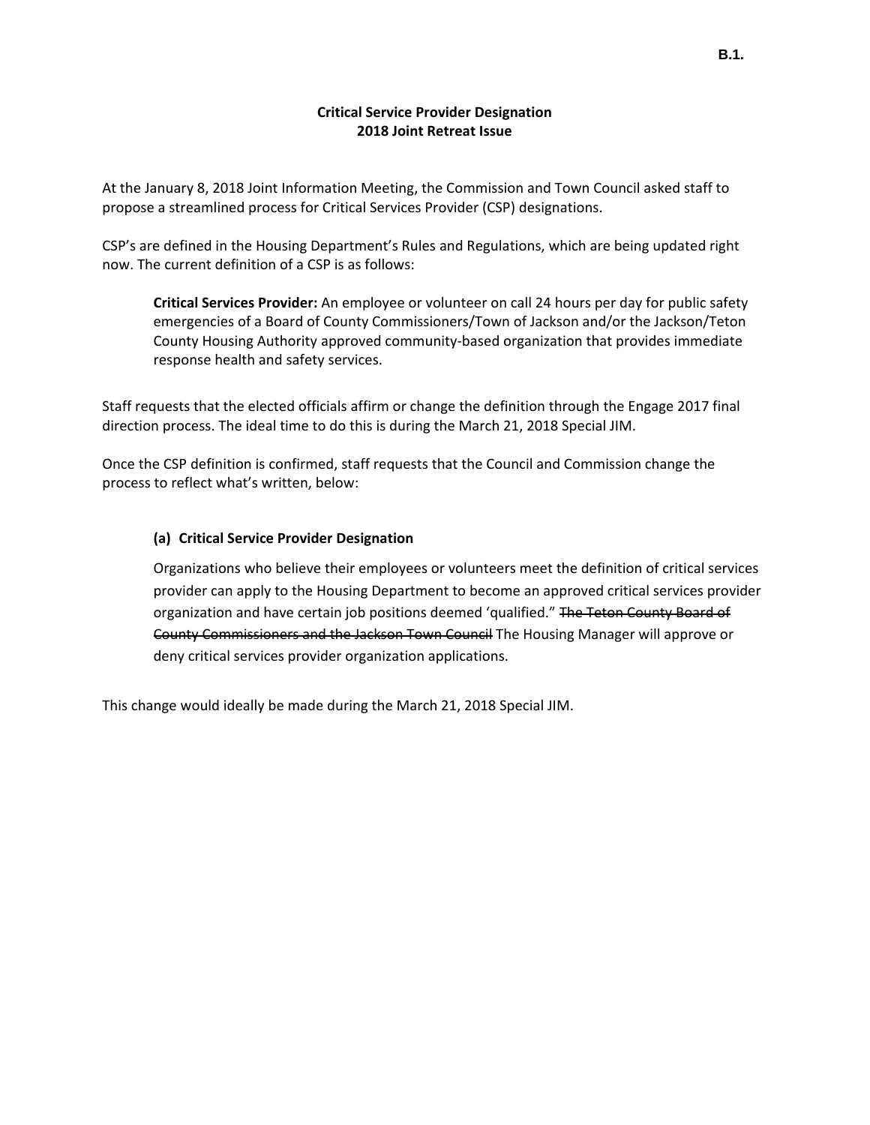### **Critical Service Provider Designation 2018 Joint Retreat Issue**

At the January 8, 2018 Joint Information Meeting, the Commission and Town Council asked staff to propose a streamlined process for Critical Services Provider (CSP) designations.

CSP's are defined in the Housing Department's Rules and Regulations, which are being updated right now. The current definition of a CSP is as follows:

**Critical Services Provider:** An employee or volunteer on call 24 hours per day for public safety emergencies of a Board of County Commissioners/Town of Jackson and/or the Jackson/Teton County Housing Authority approved community‐based organization that provides immediate response health and safety services.

Staff requests that the elected officials affirm or change the definition through the Engage 2017 final direction process. The ideal time to do this is during the March 21, 2018 Special JIM.

Once the CSP definition is confirmed, staff requests that the Council and Commission change the process to reflect what's written, below:

### **(a) Critical Service Provider Designation**

Organizations who believe their employees or volunteers meet the definition of critical services provider can apply to the Housing Department to become an approved critical services provider organization and have certain job positions deemed 'qualified." The Teton County Board of County Commissioners and the Jackson Town Council The Housing Manager will approve or deny critical services provider organization applications.

This change would ideally be made during the March 21, 2018 Special JIM.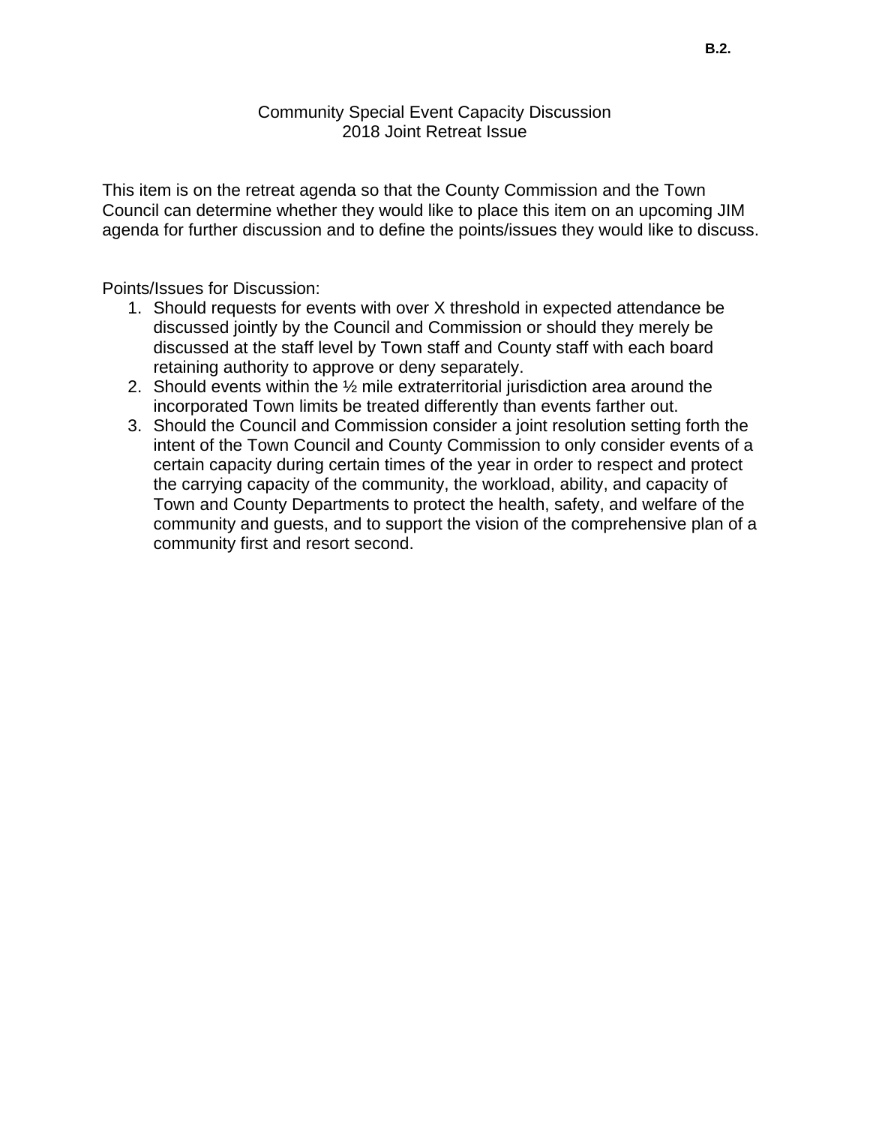# Community Special Event Capacity Discussion 2018 Joint Retreat Issue

This item is on the retreat agenda so that the County Commission and the Town Council can determine whether they would like to place this item on an upcoming JIM agenda for further discussion and to define the points/issues they would like to discuss.

Points/Issues for Discussion:

- 1. Should requests for events with over X threshold in expected attendance be discussed jointly by the Council and Commission or should they merely be discussed at the staff level by Town staff and County staff with each board retaining authority to approve or deny separately.
- 2. Should events within the ½ mile extraterritorial jurisdiction area around the incorporated Town limits be treated differently than events farther out.
- 3. Should the Council and Commission consider a joint resolution setting forth the intent of the Town Council and County Commission to only consider events of a certain capacity during certain times of the year in order to respect and protect the carrying capacity of the community, the workload, ability, and capacity of Town and County Departments to protect the health, safety, and welfare of the community and guests, and to support the vision of the comprehensive plan of a community first and resort second.